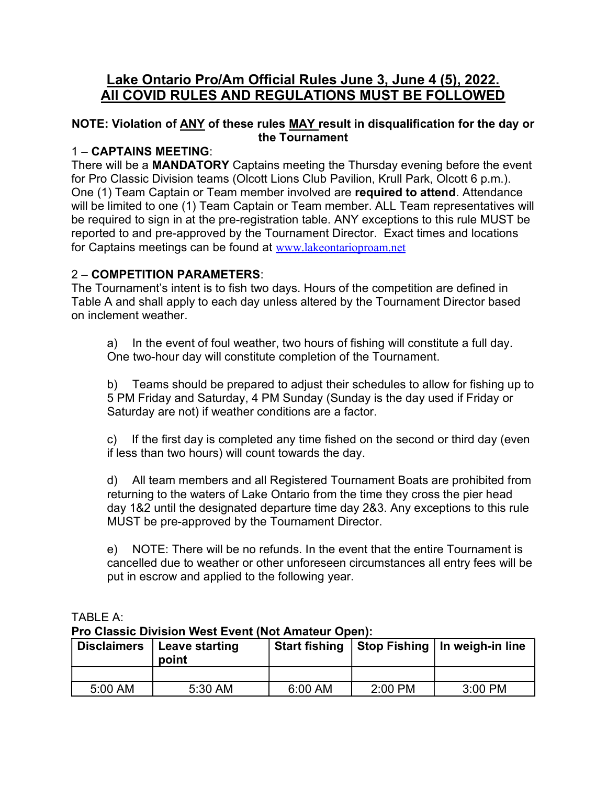# Lake Ontario Pro/Am Official Rules June 3, June 4 (5), 2022. All COVID RULES AND REGULATIONS MUST BE FOLLOWED

#### NOTE: Violation of ANY of these rules MAY result in disqualification for the day or the Tournament

#### 1 – CAPTAINS MEETING:

There will be a **MANDATORY** Captains meeting the Thursday evening before the event for Pro Classic Division teams (Olcott Lions Club Pavilion, Krull Park, Olcott 6 p.m.). One (1) Team Captain or Team member involved are required to attend. Attendance will be limited to one (1) Team Captain or Team member. ALL Team representatives will be required to sign in at the pre-registration table. ANY exceptions to this rule MUST be reported to and pre-approved by the Tournament Director. Exact times and locations for Captains meetings can be found at www.lakeontarioproam.net

#### 2 – COMPETITION PARAMETERS:

The Tournament's intent is to fish two days. Hours of the competition are defined in Table A and shall apply to each day unless altered by the Tournament Director based on inclement weather.

a) In the event of foul weather, two hours of fishing will constitute a full day. One two-hour day will constitute completion of the Tournament.

b) Teams should be prepared to adjust their schedules to allow for fishing up to 5 PM Friday and Saturday, 4 PM Sunday (Sunday is the day used if Friday or Saturday are not) if weather conditions are a factor.

c) If the first day is completed any time fished on the second or third day (even if less than two hours) will count towards the day.

d) All team members and all Registered Tournament Boats are prohibited from returning to the waters of Lake Ontario from the time they cross the pier head day 1&2 until the designated departure time day 2&3. Any exceptions to this rule MUST be pre-approved by the Tournament Director.

e) NOTE: There will be no refunds. In the event that the entire Tournament is cancelled due to weather or other unforeseen circumstances all entry fees will be put in escrow and applied to the following year.

| <b>THE STRESS PRESSION FROM EVOIR HYDRAINARY OPONIA</b> |                                       |                      |         |                                 |
|---------------------------------------------------------|---------------------------------------|----------------------|---------|---------------------------------|
|                                                         | Disclaimers   Leave starting<br>point | <b>Start fishing</b> |         | Stop Fishing   In weigh-in line |
|                                                         |                                       |                      |         |                                 |
| 5:00 AM                                                 | 5:30 AM                               | 6:00 AM              | 2:00 PM | 3:00 PM                         |

#### TABLE  $A^T$ Pro Classic Division West Event (Not Amateur Open):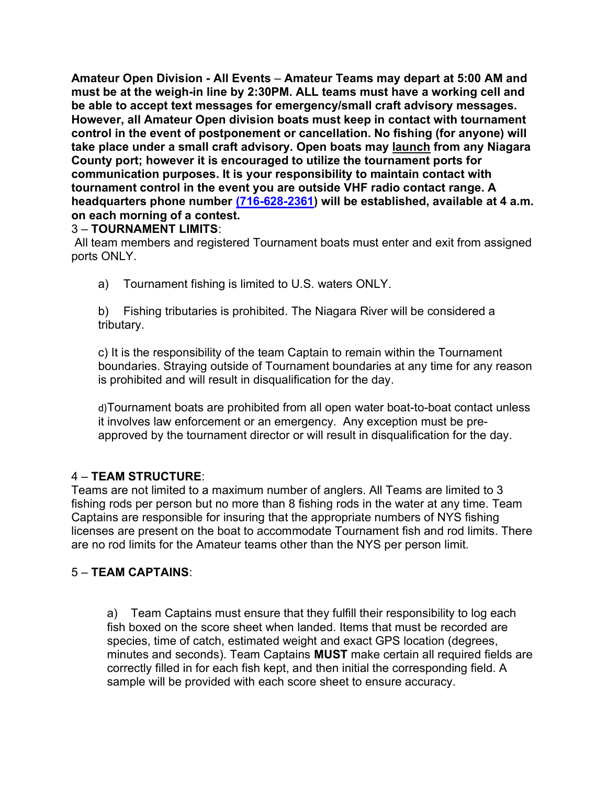Amateur Open Division - All Events – Amateur Teams may depart at 5:00 AM and must be at the weigh-in line by 2:30PM. ALL teams must have a working cell and be able to accept text messages for emergency/small craft advisory messages. However, all Amateur Open division boats must keep in contact with tournament control in the event of postponement or cancellation. No fishing (for anyone) will take place under a small craft advisory. Open boats may launch from any Niagara County port; however it is encouraged to utilize the tournament ports for communication purposes. It is your responsibility to maintain contact with tournament control in the event you are outside VHF radio contact range. A headquarters phone number (716-628-2361) will be established, available at 4 a.m. on each morning of a contest.

#### 3 – TOURNAMENT LIMITS:

 All team members and registered Tournament boats must enter and exit from assigned ports ONLY.

a) Tournament fishing is limited to U.S. waters ONLY.

b) Fishing tributaries is prohibited. The Niagara River will be considered a tributary.

c) It is the responsibility of the team Captain to remain within the Tournament boundaries. Straying outside of Tournament boundaries at any time for any reason is prohibited and will result in disqualification for the day.

d)Tournament boats are prohibited from all open water boat-to-boat contact unless it involves law enforcement or an emergency. Any exception must be preapproved by the tournament director or will result in disqualification for the day.

## 4 – TEAM STRUCTURE:

Teams are not limited to a maximum number of anglers. All Teams are limited to 3 fishing rods per person but no more than 8 fishing rods in the water at any time. Team Captains are responsible for insuring that the appropriate numbers of NYS fishing licenses are present on the boat to accommodate Tournament fish and rod limits. There are no rod limits for the Amateur teams other than the NYS per person limit.

## 5 – TEAM CAPTAINS:

a) Team Captains must ensure that they fulfill their responsibility to log each fish boxed on the score sheet when landed. Items that must be recorded are species, time of catch, estimated weight and exact GPS location (degrees, minutes and seconds). Team Captains MUST make certain all required fields are correctly filled in for each fish kept, and then initial the corresponding field. A sample will be provided with each score sheet to ensure accuracy.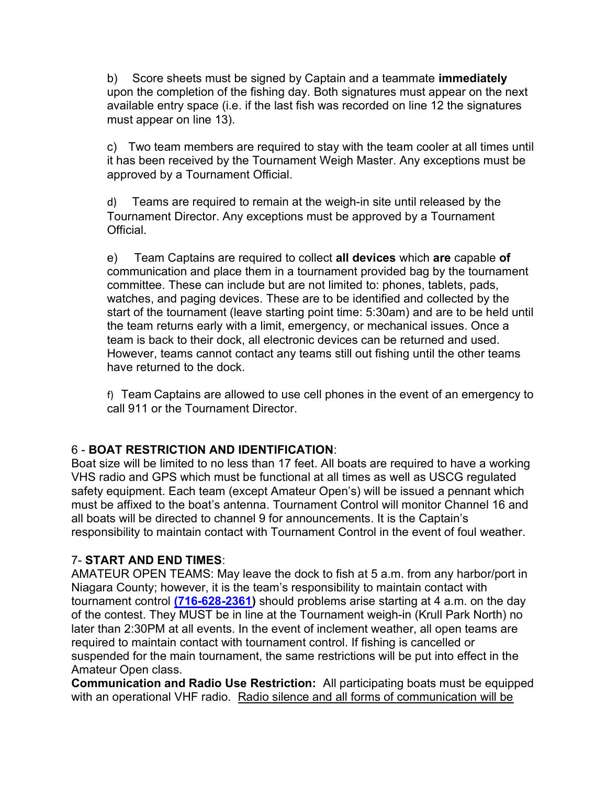b) Score sheets must be signed by Captain and a teammate **immediately** upon the completion of the fishing day. Both signatures must appear on the next available entry space (i.e. if the last fish was recorded on line 12 the signatures must appear on line 13).

c) Two team members are required to stay with the team cooler at all times until it has been received by the Tournament Weigh Master. Any exceptions must be approved by a Tournament Official.

d) Teams are required to remain at the weigh-in site until released by the Tournament Director. Any exceptions must be approved by a Tournament Official.

e) Team Captains are required to collect all devices which are capable of communication and place them in a tournament provided bag by the tournament committee. These can include but are not limited to: phones, tablets, pads, watches, and paging devices. These are to be identified and collected by the start of the tournament (leave starting point time: 5:30am) and are to be held until the team returns early with a limit, emergency, or mechanical issues. Once a team is back to their dock, all electronic devices can be returned and used. However, teams cannot contact any teams still out fishing until the other teams have returned to the dock.

f) Team Captains are allowed to use cell phones in the event of an emergency to call 911 or the Tournament Director.

## 6 - BOAT RESTRICTION AND IDENTIFICATION:

Boat size will be limited to no less than 17 feet. All boats are required to have a working VHS radio and GPS which must be functional at all times as well as USCG regulated safety equipment. Each team (except Amateur Open's) will be issued a pennant which must be affixed to the boat's antenna. Tournament Control will monitor Channel 16 and all boats will be directed to channel 9 for announcements. It is the Captain's responsibility to maintain contact with Tournament Control in the event of foul weather.

## 7- START AND END TIMES:

AMATEUR OPEN TEAMS: May leave the dock to fish at 5 a.m. from any harbor/port in Niagara County; however, it is the team's responsibility to maintain contact with tournament control (716-628-2361) should problems arise starting at 4 a.m. on the day of the contest. They MUST be in line at the Tournament weigh-in (Krull Park North) no later than 2:30PM at all events. In the event of inclement weather, all open teams are required to maintain contact with tournament control. If fishing is cancelled or suspended for the main tournament, the same restrictions will be put into effect in the Amateur Open class.

Communication and Radio Use Restriction: All participating boats must be equipped with an operational VHF radio. Radio silence and all forms of communication will be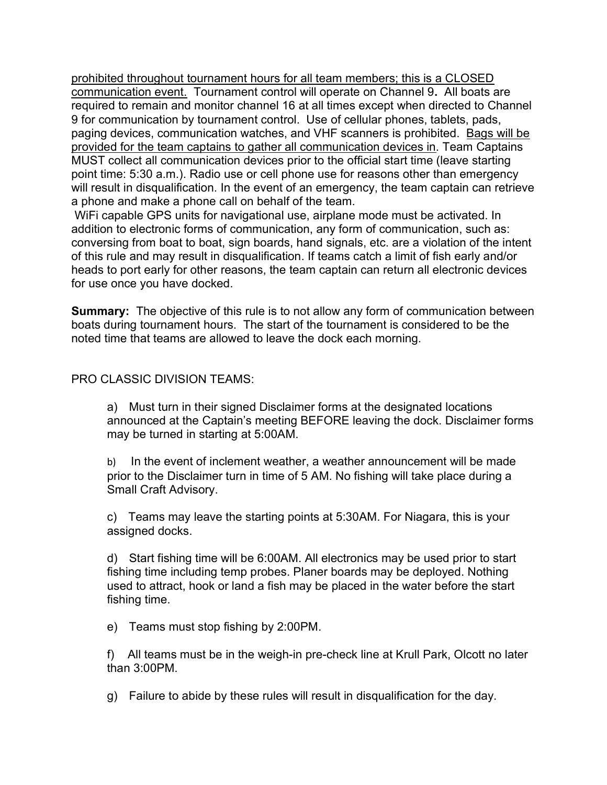prohibited throughout tournament hours for all team members; this is a CLOSED communication event. Tournament control will operate on Channel 9. All boats are required to remain and monitor channel 16 at all times except when directed to Channel 9 for communication by tournament control. Use of cellular phones, tablets, pads, paging devices, communication watches, and VHF scanners is prohibited. Bags will be provided for the team captains to gather all communication devices in. Team Captains MUST collect all communication devices prior to the official start time (leave starting point time: 5:30 a.m.). Radio use or cell phone use for reasons other than emergency will result in disqualification. In the event of an emergency, the team captain can retrieve a phone and make a phone call on behalf of the team.

 WiFi capable GPS units for navigational use, airplane mode must be activated. In addition to electronic forms of communication, any form of communication, such as: conversing from boat to boat, sign boards, hand signals, etc. are a violation of the intent of this rule and may result in disqualification. If teams catch a limit of fish early and/or heads to port early for other reasons, the team captain can return all electronic devices for use once you have docked.

**Summary:** The objective of this rule is to not allow any form of communication between boats during tournament hours. The start of the tournament is considered to be the noted time that teams are allowed to leave the dock each morning.

#### PRO CLASSIC DIVISION TEAMS:

a) Must turn in their signed Disclaimer forms at the designated locations announced at the Captain's meeting BEFORE leaving the dock. Disclaimer forms may be turned in starting at 5:00AM.

b) In the event of inclement weather, a weather announcement will be made prior to the Disclaimer turn in time of 5 AM. No fishing will take place during a Small Craft Advisory.

c) Teams may leave the starting points at 5:30AM. For Niagara, this is your assigned docks.

d) Start fishing time will be 6:00AM. All electronics may be used prior to start fishing time including temp probes. Planer boards may be deployed. Nothing used to attract, hook or land a fish may be placed in the water before the start fishing time.

e) Teams must stop fishing by 2:00PM.

f) All teams must be in the weigh-in pre-check line at Krull Park, Olcott no later than 3:00PM.

g) Failure to abide by these rules will result in disqualification for the day.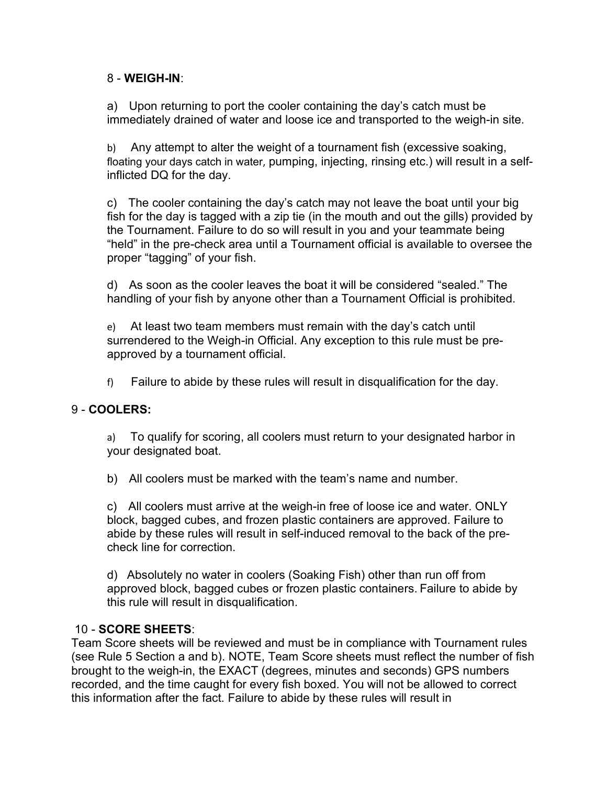#### 8 - WEIGH-IN:

a) Upon returning to port the cooler containing the day's catch must be immediately drained of water and loose ice and transported to the weigh-in site.

b) Any attempt to alter the weight of a tournament fish (excessive soaking, floating your days catch in water, pumping, injecting, rinsing etc.) will result in a selfinflicted DQ for the day.

c) The cooler containing the day's catch may not leave the boat until your big fish for the day is tagged with a zip tie (in the mouth and out the gills) provided by the Tournament. Failure to do so will result in you and your teammate being "held" in the pre-check area until a Tournament official is available to oversee the proper "tagging" of your fish.

d) As soon as the cooler leaves the boat it will be considered "sealed." The handling of your fish by anyone other than a Tournament Official is prohibited.

e) At least two team members must remain with the day's catch until surrendered to the Weigh-in Official. Any exception to this rule must be preapproved by a tournament official.

f) Failure to abide by these rules will result in disqualification for the day.

## 9 - COOLERS:

a) To qualify for scoring, all coolers must return to your designated harbor in your designated boat.

b) All coolers must be marked with the team's name and number.

c) All coolers must arrive at the weigh-in free of loose ice and water. ONLY block, bagged cubes, and frozen plastic containers are approved. Failure to abide by these rules will result in self-induced removal to the back of the precheck line for correction.

d) Absolutely no water in coolers (Soaking Fish) other than run off from approved block, bagged cubes or frozen plastic containers. Failure to abide by this rule will result in disqualification.

## 10 - SCORE SHEETS:

Team Score sheets will be reviewed and must be in compliance with Tournament rules (see Rule 5 Section a and b). NOTE, Team Score sheets must reflect the number of fish brought to the weigh-in, the EXACT (degrees, minutes and seconds) GPS numbers recorded, and the time caught for every fish boxed. You will not be allowed to correct this information after the fact. Failure to abide by these rules will result in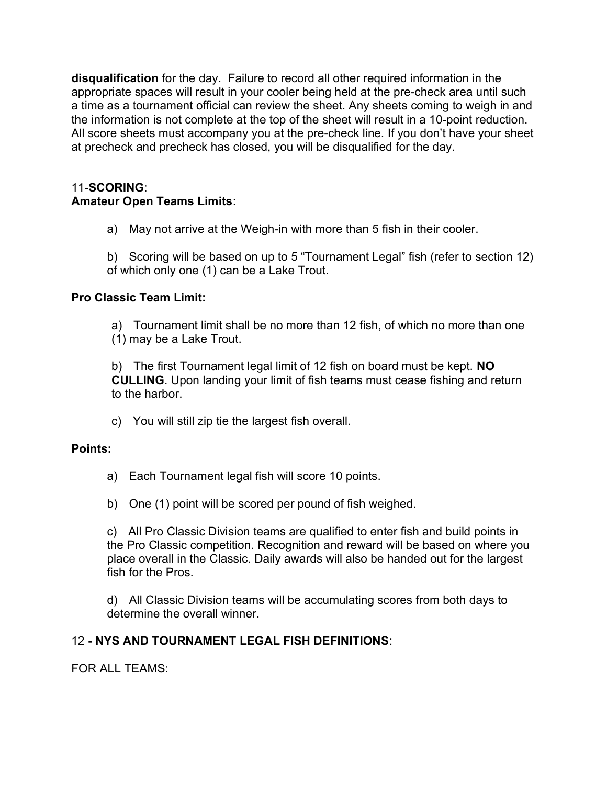disqualification for the day. Failure to record all other required information in the appropriate spaces will result in your cooler being held at the pre-check area until such a time as a tournament official can review the sheet. Any sheets coming to weigh in and the information is not complete at the top of the sheet will result in a 10-point reduction. All score sheets must accompany you at the pre-check line. If you don't have your sheet at precheck and precheck has closed, you will be disqualified for the day.

## 11-SCORING: Amateur Open Teams Limits:

a) May not arrive at the Weigh-in with more than 5 fish in their cooler.

b) Scoring will be based on up to 5 "Tournament Legal" fish (refer to section 12) of which only one (1) can be a Lake Trout.

## Pro Classic Team Limit:

a) Tournament limit shall be no more than 12 fish, of which no more than one (1) may be a Lake Trout.

b) The first Tournament legal limit of 12 fish on board must be kept. NO CULLING. Upon landing your limit of fish teams must cease fishing and return to the harbor.

c) You will still zip tie the largest fish overall.

## Points:

- a) Each Tournament legal fish will score 10 points.
- b) One (1) point will be scored per pound of fish weighed.

c) All Pro Classic Division teams are qualified to enter fish and build points in the Pro Classic competition. Recognition and reward will be based on where you place overall in the Classic. Daily awards will also be handed out for the largest fish for the Pros.

d) All Classic Division teams will be accumulating scores from both days to determine the overall winner.

## 12 - NYS AND TOURNAMENT LEGAL FISH DEFINITIONS:

FOR ALL TEAMS: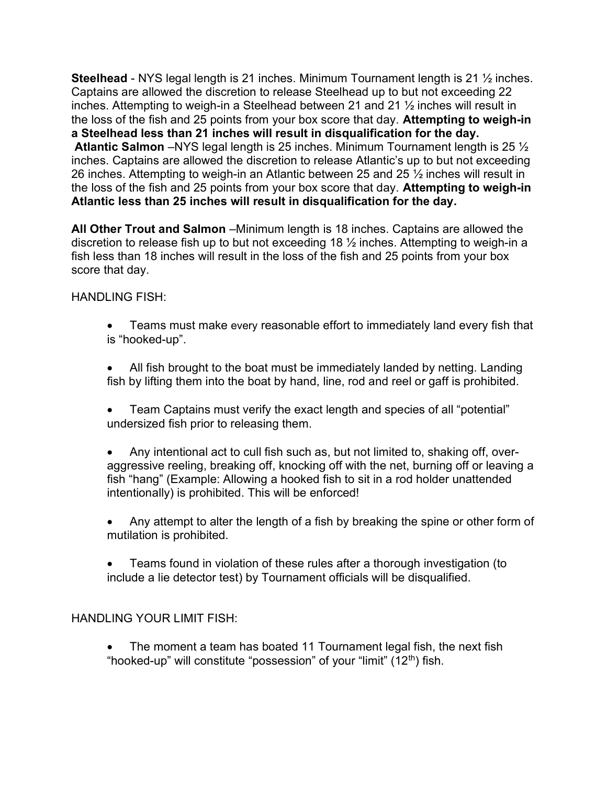Steelhead - NYS legal length is 21 inches. Minimum Tournament length is 21  $\frac{1}{2}$  inches. Captains are allowed the discretion to release Steelhead up to but not exceeding 22 inches. Attempting to weigh-in a Steelhead between 21 and 21 ½ inches will result in the loss of the fish and 25 points from your box score that day. Attempting to weigh-in a Steelhead less than 21 inches will result in disqualification for the day. Atlantic Salmon –NYS legal length is 25 inches. Minimum Tournament length is 25 ½ inches. Captains are allowed the discretion to release Atlantic's up to but not exceeding 26 inches. Attempting to weigh-in an Atlantic between 25 and 25 ½ inches will result in the loss of the fish and 25 points from your box score that day. Attempting to weigh-in Atlantic less than 25 inches will result in disqualification for the day.

All Other Trout and Salmon –Minimum length is 18 inches. Captains are allowed the discretion to release fish up to but not exceeding 18 ½ inches. Attempting to weigh-in a fish less than 18 inches will result in the loss of the fish and 25 points from your box score that day.

#### HANDI ING FISH<sup>.</sup>

- Teams must make every reasonable effort to immediately land every fish that is "hooked-up".
- All fish brought to the boat must be immediately landed by netting. Landing fish by lifting them into the boat by hand, line, rod and reel or gaff is prohibited.
- Team Captains must verify the exact length and species of all "potential" undersized fish prior to releasing them.
- Any intentional act to cull fish such as, but not limited to, shaking off, overaggressive reeling, breaking off, knocking off with the net, burning off or leaving a fish "hang" (Example: Allowing a hooked fish to sit in a rod holder unattended intentionally) is prohibited. This will be enforced!
- Any attempt to alter the length of a fish by breaking the spine or other form of mutilation is prohibited.
- Teams found in violation of these rules after a thorough investigation (to include a lie detector test) by Tournament officials will be disqualified.

#### HANDLING YOUR LIMIT FISH:

 The moment a team has boated 11 Tournament legal fish, the next fish "hooked-up" will constitute "possession" of your "limit"  $(12<sup>th</sup>)$  fish.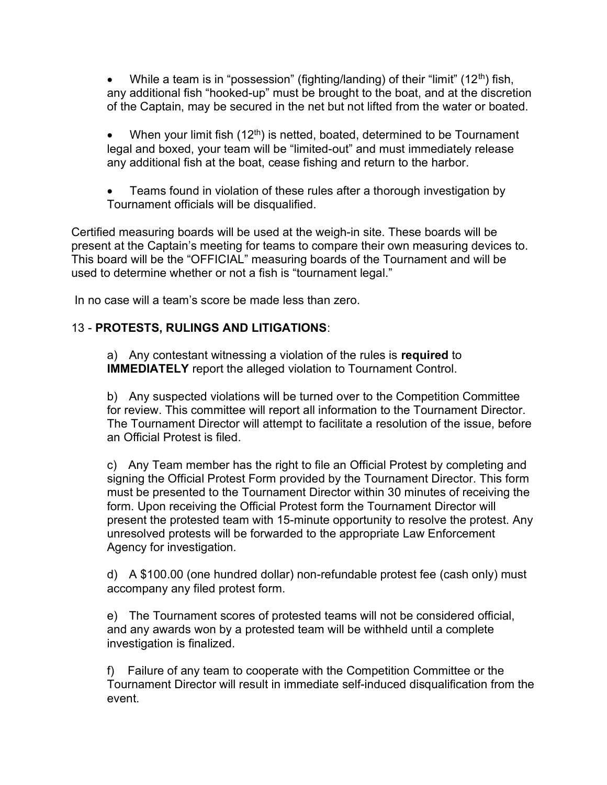While a team is in "possession" (fighting/landing) of their "limit" (12<sup>th</sup>) fish, any additional fish "hooked-up" must be brought to the boat, and at the discretion of the Captain, may be secured in the net but not lifted from the water or boated.

• When your limit fish  $(12<sup>th</sup>)$  is netted, boated, determined to be Tournament legal and boxed, your team will be "limited-out" and must immediately release any additional fish at the boat, cease fishing and return to the harbor.

 Teams found in violation of these rules after a thorough investigation by Tournament officials will be disqualified.

Certified measuring boards will be used at the weigh-in site. These boards will be present at the Captain's meeting for teams to compare their own measuring devices to. This board will be the "OFFICIAL" measuring boards of the Tournament and will be used to determine whether or not a fish is "tournament legal."

In no case will a team's score be made less than zero.

#### 13 - PROTESTS, RULINGS AND LITIGATIONS:

a) Any contestant witnessing a violation of the rules is required to IMMEDIATELY report the alleged violation to Tournament Control.

b) Any suspected violations will be turned over to the Competition Committee for review. This committee will report all information to the Tournament Director. The Tournament Director will attempt to facilitate a resolution of the issue, before an Official Protest is filed.

c) Any Team member has the right to file an Official Protest by completing and signing the Official Protest Form provided by the Tournament Director. This form must be presented to the Tournament Director within 30 minutes of receiving the form. Upon receiving the Official Protest form the Tournament Director will present the protested team with 15-minute opportunity to resolve the protest. Any unresolved protests will be forwarded to the appropriate Law Enforcement Agency for investigation.

d) A \$100.00 (one hundred dollar) non-refundable protest fee (cash only) must accompany any filed protest form.

e) The Tournament scores of protested teams will not be considered official, and any awards won by a protested team will be withheld until a complete investigation is finalized.

f) Failure of any team to cooperate with the Competition Committee or the Tournament Director will result in immediate self-induced disqualification from the event.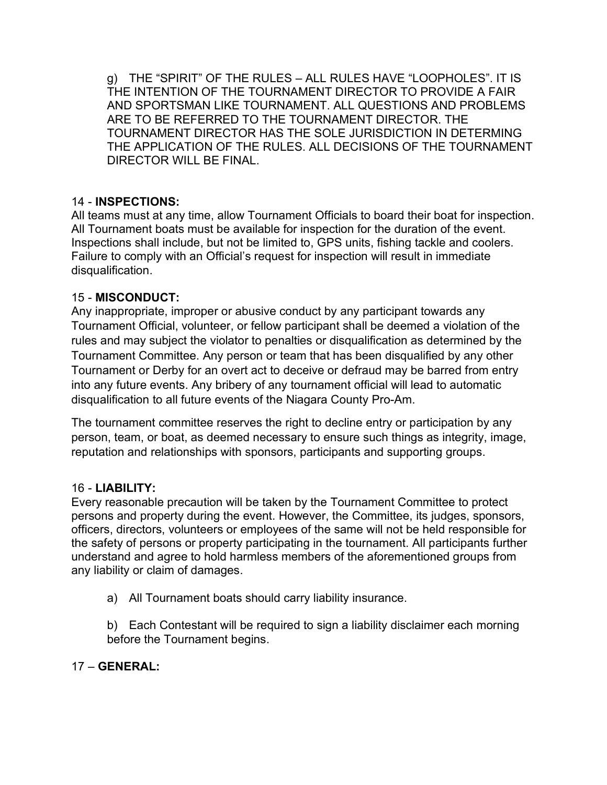g) THE "SPIRIT" OF THE RULES – ALL RULES HAVE "LOOPHOLES". IT IS THE INTENTION OF THE TOURNAMENT DIRECTOR TO PROVIDE A FAIR AND SPORTSMAN LIKE TOURNAMENT. ALL QUESTIONS AND PROBLEMS ARE TO BE REFERRED TO THE TOURNAMENT DIRECTOR. THE TOURNAMENT DIRECTOR HAS THE SOLE JURISDICTION IN DETERMING THE APPLICATION OF THE RULES. ALL DECISIONS OF THE TOURNAMENT DIRECTOR WILL BE FINAL.

## 14 - INSPECTIONS:

All teams must at any time, allow Tournament Officials to board their boat for inspection. All Tournament boats must be available for inspection for the duration of the event. Inspections shall include, but not be limited to, GPS units, fishing tackle and coolers. Failure to comply with an Official's request for inspection will result in immediate disqualification.

## 15 - MISCONDUCT:

Any inappropriate, improper or abusive conduct by any participant towards any Tournament Official, volunteer, or fellow participant shall be deemed a violation of the rules and may subject the violator to penalties or disqualification as determined by the Tournament Committee. Any person or team that has been disqualified by any other Tournament or Derby for an overt act to deceive or defraud may be barred from entry into any future events. Any bribery of any tournament official will lead to automatic disqualification to all future events of the Niagara County Pro-Am.

The tournament committee reserves the right to decline entry or participation by any person, team, or boat, as deemed necessary to ensure such things as integrity, image, reputation and relationships with sponsors, participants and supporting groups.

## 16 - LIABILITY:

Every reasonable precaution will be taken by the Tournament Committee to protect persons and property during the event. However, the Committee, its judges, sponsors, officers, directors, volunteers or employees of the same will not be held responsible for the safety of persons or property participating in the tournament. All participants further understand and agree to hold harmless members of the aforementioned groups from any liability or claim of damages.

a) All Tournament boats should carry liability insurance.

b) Each Contestant will be required to sign a liability disclaimer each morning before the Tournament begins.

17 – GENERAL: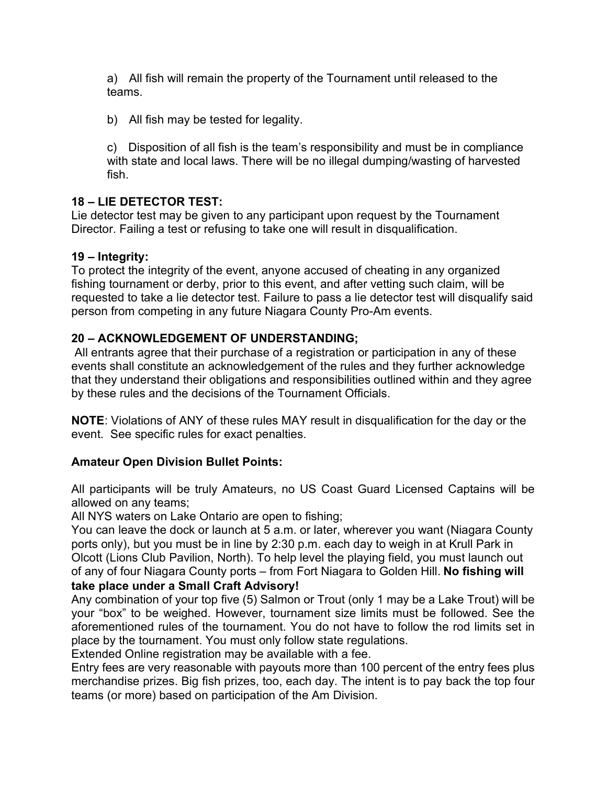a) All fish will remain the property of the Tournament until released to the teams.

b) All fish may be tested for legality.

c) Disposition of all fish is the team's responsibility and must be in compliance with state and local laws. There will be no illegal dumping/wasting of harvested fish.

## 18 – LIE DETECTOR TEST:

Lie detector test may be given to any participant upon request by the Tournament Director. Failing a test or refusing to take one will result in disqualification.

#### 19 – Integrity:

To protect the integrity of the event, anyone accused of cheating in any organized fishing tournament or derby, prior to this event, and after vetting such claim, will be requested to take a lie detector test. Failure to pass a lie detector test will disqualify said person from competing in any future Niagara County Pro-Am events.

#### 20 – ACKNOWLEDGEMENT OF UNDERSTANDING;

 All entrants agree that their purchase of a registration or participation in any of these events shall constitute an acknowledgement of the rules and they further acknowledge that they understand their obligations and responsibilities outlined within and they agree by these rules and the decisions of the Tournament Officials.

NOTE: Violations of ANY of these rules MAY result in disqualification for the day or the event. See specific rules for exact penalties.

## Amateur Open Division Bullet Points:

All participants will be truly Amateurs, no US Coast Guard Licensed Captains will be allowed on any teams;

All NYS waters on Lake Ontario are open to fishing;

You can leave the dock or launch at 5 a.m. or later, wherever you want (Niagara County ports only), but you must be in line by 2:30 p.m. each day to weigh in at Krull Park in Olcott (Lions Club Pavilion, North). To help level the playing field, you must launch out of any of four Niagara County ports – from Fort Niagara to Golden Hill. No fishing will take place under a Small Craft Advisory!

Any combination of your top five (5) Salmon or Trout (only 1 may be a Lake Trout) will be your "box" to be weighed. However, tournament size limits must be followed. See the aforementioned rules of the tournament. You do not have to follow the rod limits set in place by the tournament. You must only follow state regulations.

Extended Online registration may be available with a fee.

Entry fees are very reasonable with payouts more than 100 percent of the entry fees plus merchandise prizes. Big fish prizes, too, each day. The intent is to pay back the top four teams (or more) based on participation of the Am Division.